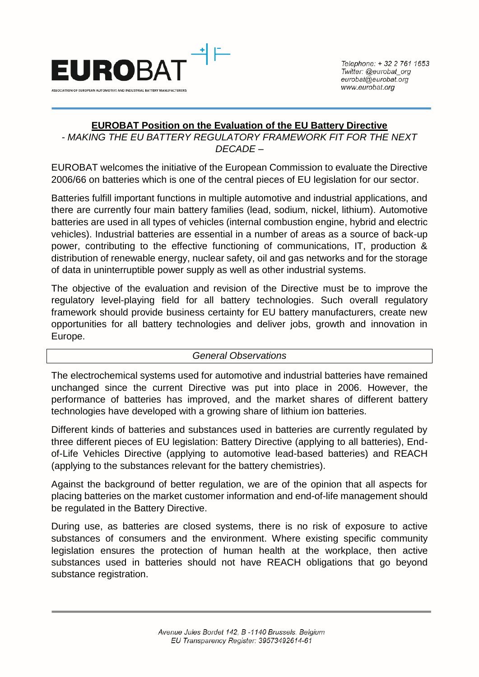

# **EUROBAT Position on the Evaluation of the EU Battery Directive**

*- MAKING THE EU BATTERY REGULATORY FRAMEWORK FIT FOR THE NEXT DECADE –*

EUROBAT welcomes the initiative of the European Commission to evaluate the Directive 2006/66 on batteries which is one of the central pieces of EU legislation for our sector.

Batteries fulfill important functions in multiple automotive and industrial applications, and there are currently four main battery families (lead, sodium, nickel, lithium). Automotive batteries are used in all types of vehicles (internal combustion engine, hybrid and electric vehicles). Industrial batteries are essential in a number of areas as a source of back-up power, contributing to the effective functioning of communications, IT, production & distribution of renewable energy, nuclear safety, oil and gas networks and for the storage of data in uninterruptible power supply as well as other industrial systems.

The objective of the evaluation and revision of the Directive must be to improve the regulatory level-playing field for all battery technologies. Such overall regulatory framework should provide business certainty for EU battery manufacturers, create new opportunities for all battery technologies and deliver jobs, growth and innovation in Europe.

#### *General Observations*

The electrochemical systems used for automotive and industrial batteries have remained unchanged since the current Directive was put into place in 2006. However, the performance of batteries has improved, and the market shares of different battery technologies have developed with a growing share of lithium ion batteries.

Different kinds of batteries and substances used in batteries are currently regulated by three different pieces of EU legislation: Battery Directive (applying to all batteries), Endof-Life Vehicles Directive (applying to automotive lead-based batteries) and REACH (applying to the substances relevant for the battery chemistries).

Against the background of better regulation, we are of the opinion that all aspects for placing batteries on the market customer information and end-of-life management should be regulated in the Battery Directive.

During use, as batteries are closed systems, there is no risk of exposure to active substances of consumers and the environment. Where existing specific community legislation ensures the protection of human health at the workplace, then active substances used in batteries should not have REACH obligations that go beyond substance registration.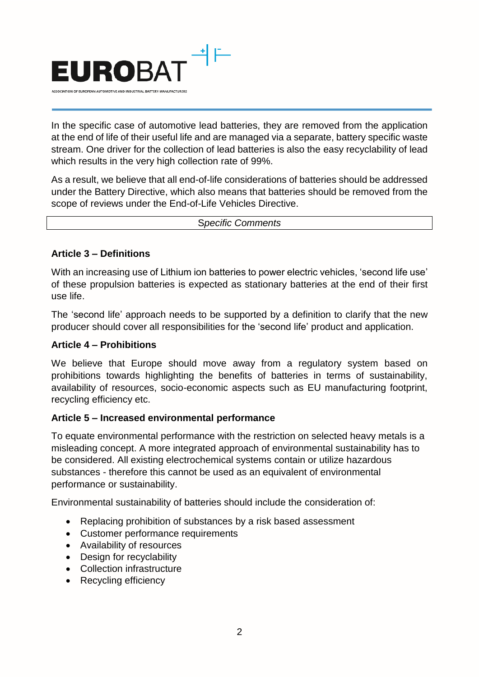

In the specific case of automotive lead batteries, they are removed from the application at the end of life of their useful life and are managed via a separate, battery specific waste stream. One driver for the collection of lead batteries is also the easy recyclability of lead which results in the very high collection rate of 99%.

As a result, we believe that all end-of-life considerations of batteries should be addressed under the Battery Directive, which also means that batteries should be removed from the scope of reviews under the End-of-Life Vehicles Directive.

S*pecific Comments*

## **Article 3 – Definitions**

With an increasing use of Lithium ion batteries to power electric vehicles, 'second life use' of these propulsion batteries is expected as stationary batteries at the end of their first use life.

The 'second life' approach needs to be supported by a definition to clarify that the new producer should cover all responsibilities for the 'second life' product and application.

## **Article 4 – Prohibitions**

We believe that Europe should move away from a regulatory system based on prohibitions towards highlighting the benefits of batteries in terms of sustainability, availability of resources, socio-economic aspects such as EU manufacturing footprint, recycling efficiency etc.

## **Article 5 – Increased environmental performance**

To equate environmental performance with the restriction on selected heavy metals is a misleading concept. A more integrated approach of environmental sustainability has to be considered. All existing electrochemical systems contain or utilize hazardous substances - therefore this cannot be used as an equivalent of environmental performance or sustainability.

Environmental sustainability of batteries should include the consideration of:

- Replacing prohibition of substances by a risk based assessment
- Customer performance requirements
- Availability of resources
- Design for recyclability
- Collection infrastructure
- Recycling efficiency